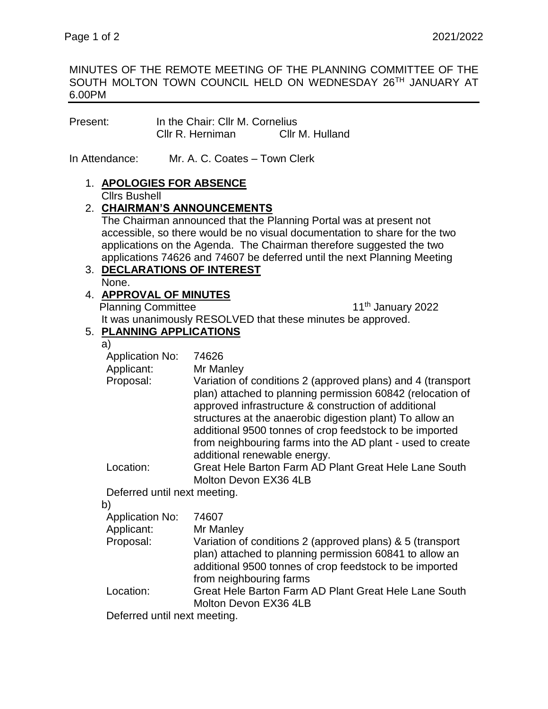### MINUTES OF THE REMOTE MEETING OF THE PLANNING COMMITTEE OF THE SOUTH MOLTON TOWN COUNCIL HELD ON WEDNESDAY 26TH JANUARY AT 6.00PM

| Present: | In the Chair: Cllr M. Cornelius |                 |
|----------|---------------------------------|-----------------|
|          | Cllr R. Herniman                | Cllr M. Hulland |

In Attendance: Mr. A. C. Coates – Town Clerk

### 1. **APOLOGIES FOR ABSENCE** Cllrs Bushell

## 2. **CHAIRMAN'S ANNOUNCEMENTS**

The Chairman announced that the Planning Portal was at present not accessible, so there would be no visual documentation to share for the two applications on the Agenda. The Chairman therefore suggested the two applications 74626 and 74607 be deferred until the next Planning Meeting

#### 3. **DECLARATIONS OF INTEREST** None.

## 4. **APPROVAL OF MINUTES** Planning Committee 11<sup>th</sup> January 2022

It was unanimously RESOLVED that these minutes be approved.

# 5. **PLANNING APPLICATIONS**

a)

| <b>Application No:</b>       | 74626                                                                                                                                                                                                                                                                                                                                                                                                  |
|------------------------------|--------------------------------------------------------------------------------------------------------------------------------------------------------------------------------------------------------------------------------------------------------------------------------------------------------------------------------------------------------------------------------------------------------|
| Applicant:                   | Mr Manley                                                                                                                                                                                                                                                                                                                                                                                              |
| Proposal:                    | Variation of conditions 2 (approved plans) and 4 (transport<br>plan) attached to planning permission 60842 (relocation of<br>approved infrastructure & construction of additional<br>structures at the anaerobic digestion plant) To allow an<br>additional 9500 tonnes of crop feedstock to be imported<br>from neighbouring farms into the AD plant - used to create<br>additional renewable energy. |
| Location:                    | Great Hele Barton Farm AD Plant Great Hele Lane South                                                                                                                                                                                                                                                                                                                                                  |
|                              | Molton Devon EX36 4LB                                                                                                                                                                                                                                                                                                                                                                                  |
| Deferred until next meeting. |                                                                                                                                                                                                                                                                                                                                                                                                        |
| b)                           |                                                                                                                                                                                                                                                                                                                                                                                                        |
| <b>Application No:</b>       | 74607                                                                                                                                                                                                                                                                                                                                                                                                  |
| Applicant:                   | Mr Manley                                                                                                                                                                                                                                                                                                                                                                                              |
| Proposal:                    | Variation of conditions 2 (approved plans) & 5 (transport<br>plan) attached to planning permission 60841 to allow an                                                                                                                                                                                                                                                                                   |

additional 9500 tonnes of crop feedstock to be imported from neighbouring farms Location: Great Hele Barton Farm AD Plant Great Hele Lane South

Molton Devon EX36 4LB

Deferred until next meeting.